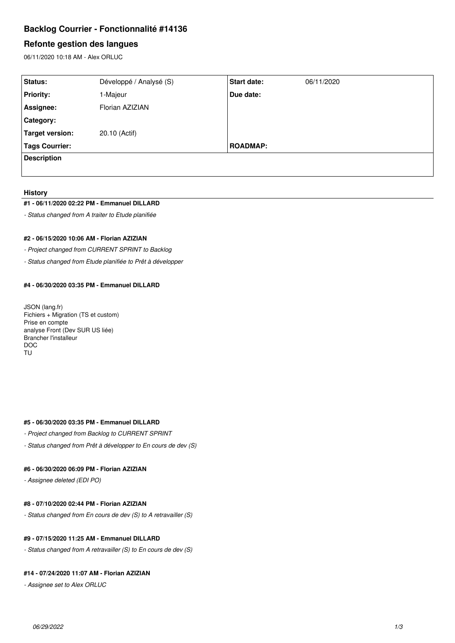# **Backlog Courrier - Fonctionnalité #14136**

# **Refonte gestion des langues**

06/11/2020 10:18 AM - Alex ORLUC

| Status:               | Développé / Analysé (S) | <b>Start date:</b> | 06/11/2020 |
|-----------------------|-------------------------|--------------------|------------|
| <b>Priority:</b>      | 1-Majeur                | Due date:          |            |
| Assignee:             | Florian AZIZIAN         |                    |            |
| <b>Category:</b>      |                         |                    |            |
| Target version:       | 20.10 (Actif)           |                    |            |
| <b>Tags Courrier:</b> |                         | <b>ROADMAP:</b>    |            |
| <b>Description</b>    |                         |                    |            |
|                       |                         |                    |            |

#### **History**

#### **#1 - 06/11/2020 02:22 PM - Emmanuel DILLARD**

*- Status changed from A traiter to Etude planifiée*

# **#2 - 06/15/2020 10:06 AM - Florian AZIZIAN**

*- Project changed from CURRENT SPRINT to Backlog*

*- Status changed from Etude planifiée to Prêt à développer*

## **#4 - 06/30/2020 03:35 PM - Emmanuel DILLARD**

JSON (lang.fr) Fichiers + Migration (TS et custom) Prise en compte analyse Front (Dev SUR US liée) Brancher l'installeur DOC TU

# **#5 - 06/30/2020 03:35 PM - Emmanuel DILLARD**

- *Project changed from Backlog to CURRENT SPRINT*
- *Status changed from Prêt à développer to En cours de dev (S)*

## **#6 - 06/30/2020 06:09 PM - Florian AZIZIAN**

*- Assignee deleted (EDI PO)*

## **#8 - 07/10/2020 02:44 PM - Florian AZIZIAN**

*- Status changed from En cours de dev (S) to A retravailler (S)*

# **#9 - 07/15/2020 11:25 AM - Emmanuel DILLARD**

*- Status changed from A retravailler (S) to En cours de dev (S)*

# **#14 - 07/24/2020 11:07 AM - Florian AZIZIAN**

*- Assignee set to Alex ORLUC*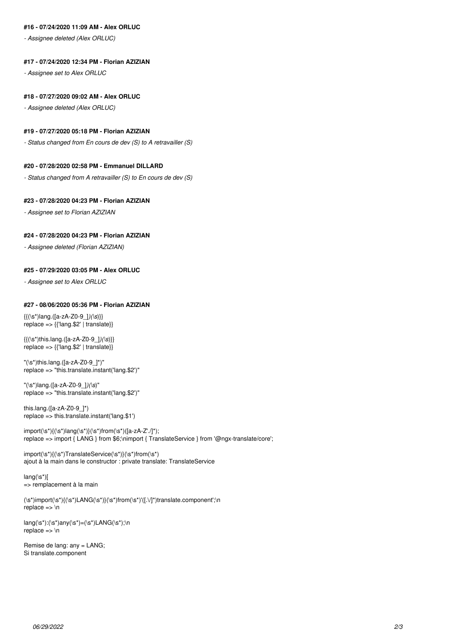# **#16 - 07/24/2020 11:09 AM - Alex ORLUC**

*- Assignee deleted (Alex ORLUC)*

#### **#17 - 07/24/2020 12:34 PM - Florian AZIZIAN**

*- Assignee set to Alex ORLUC*

#### **#18 - 07/27/2020 09:02 AM - Alex ORLUC**

*- Assignee deleted (Alex ORLUC)*

## **#19 - 07/27/2020 05:18 PM - Florian AZIZIAN**

*- Status changed from En cours de dev (S) to A retravailler (S)*

# **#20 - 07/28/2020 02:58 PM - Emmanuel DILLARD**

*- Status changed from A retravailler (S) to En cours de dev (S)*

#### **#23 - 07/28/2020 04:23 PM - Florian AZIZIAN**

*- Assignee set to Florian AZIZIAN*

#### **#24 - 07/28/2020 04:23 PM - Florian AZIZIAN**

*- Assignee deleted (Florian AZIZIAN)*

#### **#25 - 07/29/2020 03:05 PM - Alex ORLUC**

*- Assignee set to Alex ORLUC*

## **#27 - 08/06/2020 05:36 PM - Florian AZIZIAN**

{{(\s\*)lang.([a-zA-Z0-9\_]*)(\s*)}} replace => {{'lang.\$2' | translate}}

{{(\s\*)this.lang.([a-zA-Z0-9\_]*)(\s*)}} replace => {{'lang.\$2' | translate}}

"(\s\*)this.lang.([a-zA-Z0-9\_]\*)" replace => "this.translate.instant('lang.\$2')"

"(\s\*)lang.([a-zA-Z0-9\_]*)(\s*)" replace => "this.translate.instant('lang.\$2')"

this.lang.([a-zA-Z0-9\_]\*) replace => this.translate.instant('lang.\$1')

 $import(\s*)(\s*)$ lang(\s\*)}(\s\*)from(\s\*)([a-zA-Z'./]\*); replace => import { LANG } from \$6;\nimport { TranslateService } from '@ngx-translate/core';

import(\s\*){(\s\*)TranslateService(\s\*)}(\s\*)from(\s\*) ajout à la main dans le constructor : private translate: TranslateService

 $lang(\s^*)$ [ => remplacement à la main

(\s\*)import(\s\*){(\s\*)LANG(\s\*)}(\s\*)from(\s\*)'([.\/]\*)translate.component';\n replace  $\Rightarrow$  \n

 $lang(\s^*)$ : $(\s^*)$ any $(\s^*)=(\s^*)$ LANG $(\s^*)$ ;\n replace => \n

Remise de lang: any = LANG; Si translate.component